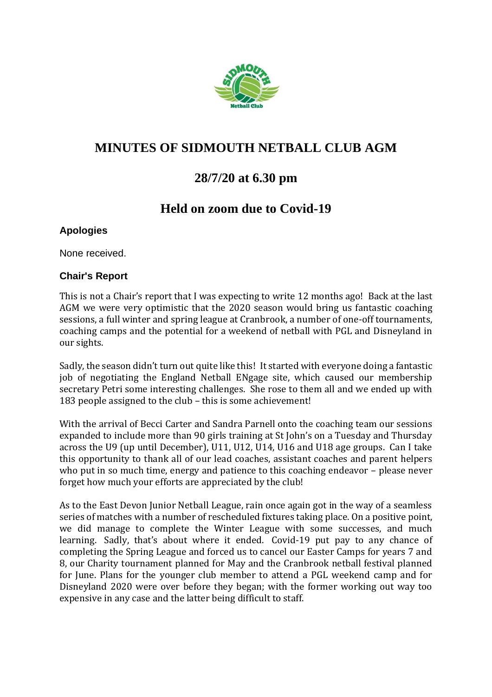

# **MINUTES OF SIDMOUTH NETBALL CLUB AGM**

# **28/7/20 at 6.30 pm**

# **Held on zoom due to Covid-19**

## **Apologies**

None received.

## **Chair's Report**

This is not a Chair's report that I was expecting to write 12 months ago! Back at the last AGM we were very optimistic that the 2020 season would bring us fantastic coaching sessions, a full winter and spring league at Cranbrook, a number of one-off tournaments, coaching camps and the potential for a weekend of netball with PGL and Disneyland in our sights.

Sadly, the season didn't turn out quite like this! It started with everyone doing a fantastic job of negotiating the England Netball ENgage site, which caused our membership secretary Petri some interesting challenges. She rose to them all and we ended up with 183 people assigned to the club – this is some achievement!

With the arrival of Becci Carter and Sandra Parnell onto the coaching team our sessions expanded to include more than 90 girls training at St John's on a Tuesday and Thursday across the U9 (up until December), U11, U12, U14, U16 and U18 age groups. Can I take this opportunity to thank all of our lead coaches, assistant coaches and parent helpers who put in so much time, energy and patience to this coaching endeavor – please never forget how much your efforts are appreciated by the club!

As to the East Devon Junior Netball League, rain once again got in the way of a seamless series of matches with a number of rescheduled fixtures taking place. On a positive point, we did manage to complete the Winter League with some successes, and much learning. Sadly, that's about where it ended. Covid-19 put pay to any chance of completing the Spring League and forced us to cancel our Easter Camps for years 7 and 8, our Charity tournament planned for May and the Cranbrook netball festival planned for June. Plans for the younger club member to attend a PGL weekend camp and for Disneyland 2020 were over before they began; with the former working out way too expensive in any case and the latter being difficult to staff.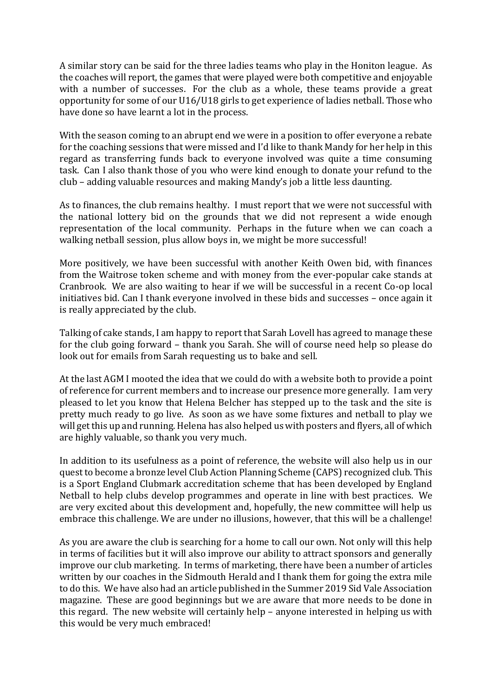A similar story can be said for the three ladies teams who play in the Honiton league. As the coaches will report, the games that were played were both competitive and enjoyable with a number of successes. For the club as a whole, these teams provide a great opportunity for some of our U16/U18 girls to get experience of ladies netball. Those who have done so have learnt a lot in the process.

With the season coming to an abrupt end we were in a position to offer everyone a rebate for the coaching sessions that were missed and I'd like to thank Mandy for her help in this regard as transferring funds back to everyone involved was quite a time consuming task. Can I also thank those of you who were kind enough to donate your refund to the club – adding valuable resources and making Mandy's job a little less daunting.

As to finances, the club remains healthy. I must report that we were not successful with the national lottery bid on the grounds that we did not represent a wide enough representation of the local community. Perhaps in the future when we can coach a walking netball session, plus allow boys in, we might be more successful!

More positively, we have been successful with another Keith Owen bid, with finances from the Waitrose token scheme and with money from the ever-popular cake stands at Cranbrook. We are also waiting to hear if we will be successful in a recent Co-op local initiatives bid. Can I thank everyone involved in these bids and successes – once again it is really appreciated by the club.

Talking of cake stands, I am happy to report that Sarah Lovell has agreed to manage these for the club going forward – thank you Sarah. She will of course need help so please do look out for emails from Sarah requesting us to bake and sell.

At the last AGM I mooted the idea that we could do with a website both to provide a point of reference for current members and to increase our presence more generally. I am very pleased to let you know that Helena Belcher has stepped up to the task and the site is pretty much ready to go live. As soon as we have some fixtures and netball to play we will get this up and running. Helena has also helped us with posters and flyers, all of which are highly valuable, so thank you very much.

In addition to its usefulness as a point of reference, the website will also help us in our quest to become a bronze level Club Action Planning Scheme (CAPS) recognized club. This is a Sport England Clubmark accreditation scheme that has been developed by England Netball to help clubs develop programmes and operate in line with best practices. We are very excited about this development and, hopefully, the new committee will help us embrace this challenge. We are under no illusions, however, that this will be a challenge!

As you are aware the club is searching for a home to call our own. Not only will this help in terms of facilities but it will also improve our ability to attract sponsors and generally improve our club marketing. In terms of marketing, there have been a number of articles written by our coaches in the Sidmouth Herald and I thank them for going the extra mile to do this. We have also had an article published in the Summer 2019 Sid Vale Association magazine. These are good beginnings but we are aware that more needs to be done in this regard. The new website will certainly help – anyone interested in helping us with this would be very much embraced!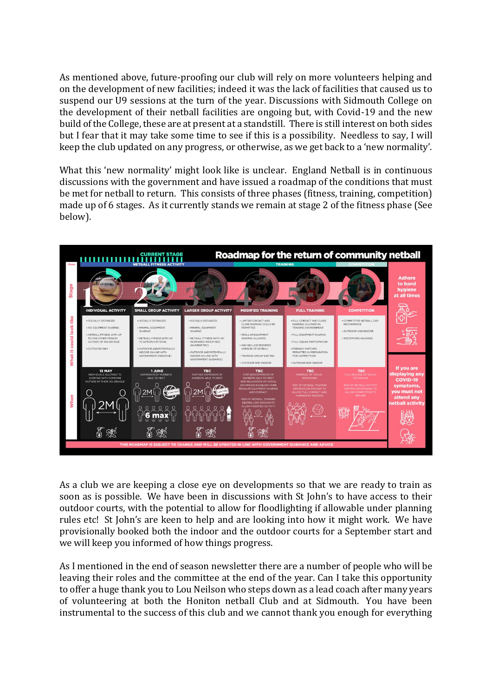As mentioned above, future-proofing our club will rely on more volunteers helping and on the development of new facilities; indeed it was the lack of facilities that caused us to suspend our U9 sessions at the turn of the year. Discussions with Sidmouth College on the development of their netball facilities are ongoing but, with Covid-19 and the new build of the College, these are at present at a standstill. There is still interest on both sides but I fear that it may take some time to see if this is a possibility. Needless to say, I will keep the club updated on any progress, or otherwise, as we get back to a 'new normality'.

What this 'new normality' might look like is unclear. England Netball is in continuous discussions with the government and have issued a roadmap of the conditions that must be met for netball to return. This consists of three phases (fitness, training, competition) made up of 6 stages. As it currently stands we remain at stage 2 of the fitness phase (See below).



As a club we are keeping a close eye on developments so that we are ready to train as soon as is possible. We have been in discussions with St John's to have access to their outdoor courts, with the potential to allow for floodlighting if allowable under planning rules etc! St John's are keen to help and are looking into how it might work. We have provisionally booked both the indoor and the outdoor courts for a September start and we will keep you informed of how things progress.

As I mentioned in the end of season newsletter there are a number of people who will be leaving their roles and the committee at the end of the year. Can I take this opportunity to offer a huge thank you to Lou Neilson who steps down as a lead coach after many years of volunteering at both the Honiton netball Club and at Sidmouth. You have been instrumental to the success of this club and we cannot thank you enough for everything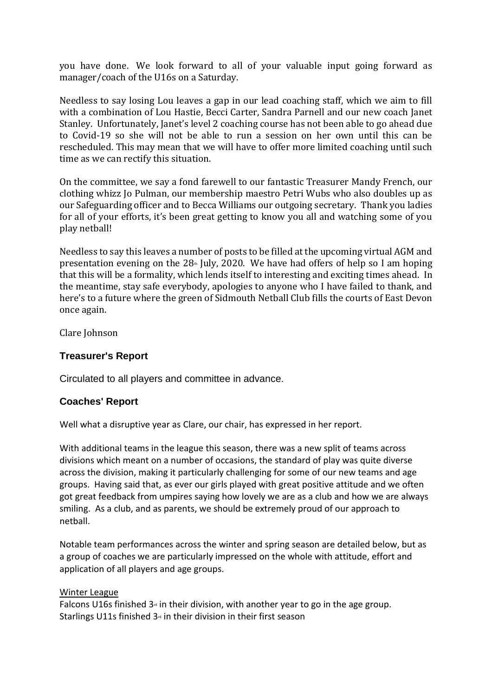you have done. We look forward to all of your valuable input going forward as manager/coach of the U16s on a Saturday.

Needless to say losing Lou leaves a gap in our lead coaching staff, which we aim to fill with a combination of Lou Hastie, Becci Carter, Sandra Parnell and our new coach Janet Stanley. Unfortunately, Janet's level 2 coaching course has not been able to go ahead due to Covid-19 so she will not be able to run a session on her own until this can be rescheduled. This may mean that we will have to offer more limited coaching until such time as we can rectify this situation.

On the committee, we say a fond farewell to our fantastic Treasurer Mandy French, our clothing whizz Jo Pulman, our membership maestro Petri Wubs who also doubles up as our Safeguarding officer and to Becca Williams our outgoing secretary. Thank you ladies for all of your efforts, it's been great getting to know you all and watching some of you play netball!

Needless to say this leaves a number of posts to be filled at the upcoming virtual AGM and presentation evening on the  $28<sub>th</sub>$  July, 2020. We have had offers of help so I am hoping that this will be a formality, which lends itself to interesting and exciting times ahead. In the meantime, stay safe everybody, apologies to anyone who I have failed to thank, and here's to a future where the green of Sidmouth Netball Club fills the courts of East Devon once again.

Clare Johnson

## **Treasurer's Report**

Circulated to all players and committee in advance.

### **Coaches' Report**

Well what a disruptive year as Clare, our chair, has expressed in her report.

With additional teams in the league this season, there was a new split of teams across divisions which meant on a number of occasions, the standard of play was quite diverse across the division, making it particularly challenging for some of our new teams and age groups. Having said that, as ever our girls played with great positive attitude and we often got great feedback from umpires saying how lovely we are as a club and how we are always smiling. As a club, and as parents, we should be extremely proud of our approach to netball.

Notable team performances across the winter and spring season are detailed below, but as a group of coaches we are particularly impressed on the whole with attitude, effort and application of all players and age groups.

#### Winter League

Falcons U16s finished  $3<sub>rd</sub>$  in their division, with another year to go in the age group. Starlings U11s finished  $3<sub>°</sub>$  in their division in their first season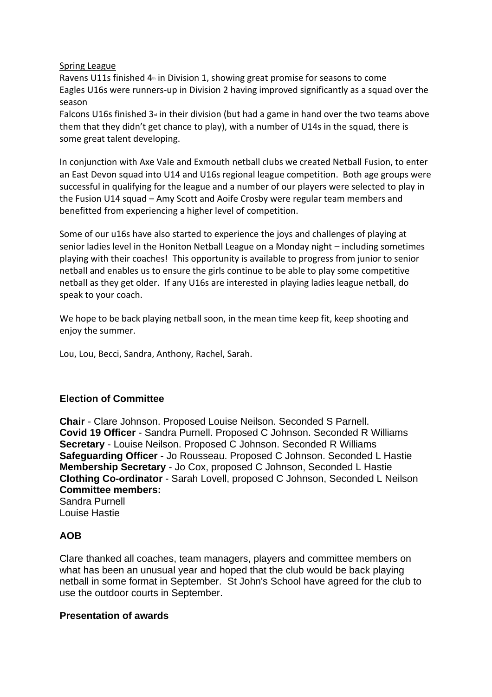#### Spring League

Ravens U11s finished  $4<sup>th</sup>$  in Division 1, showing great promise for seasons to come Eagles U16s were runners-up in Division 2 having improved significantly as a squad over the season

Falcons U16s finished  $3<sub>°</sub>$  in their division (but had a game in hand over the two teams above them that they didn't get chance to play), with a number of U14s in the squad, there is some great talent developing.

In conjunction with Axe Vale and Exmouth netball clubs we created Netball Fusion, to enter an East Devon squad into U14 and U16s regional league competition. Both age groups were successful in qualifying for the league and a number of our players were selected to play in the Fusion U14 squad – Amy Scott and Aoife Crosby were regular team members and benefitted from experiencing a higher level of competition.

Some of our u16s have also started to experience the joys and challenges of playing at senior ladies level in the Honiton Netball League on a Monday night – including sometimes playing with their coaches! This opportunity is available to progress from junior to senior netball and enables us to ensure the girls continue to be able to play some competitive netball as they get older. If any U16s are interested in playing ladies league netball, do speak to your coach.

We hope to be back playing netball soon, in the mean time keep fit, keep shooting and enjoy the summer.

Lou, Lou, Becci, Sandra, Anthony, Rachel, Sarah.

## **Election of Committee**

**Chair** - Clare Johnson. Proposed Louise Neilson. Seconded S Parnell. **Covid 19 Officer** - Sandra Purnell. Proposed C Johnson. Seconded R Williams **Secretary** - Louise Neilson. Proposed C Johnson. Seconded R Williams **Safeguarding Officer** - Jo Rousseau. Proposed C Johnson. Seconded L Hastie **Membership Secretary** - Jo Cox, proposed C Johnson, Seconded L Hastie **Clothing Co-ordinator** - Sarah Lovell, proposed C Johnson, Seconded L Neilson **Committee members:** Sandra Purnell

Louise Hastie

## **AOB**

Clare thanked all coaches, team managers, players and committee members on what has been an unusual year and hoped that the club would be back playing netball in some format in September. St John's School have agreed for the club to use the outdoor courts in September.

### **Presentation of awards**